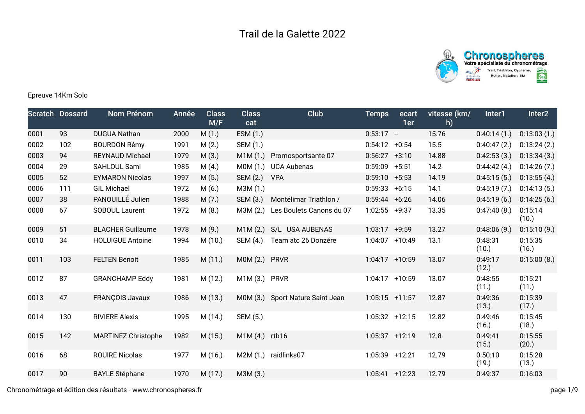



Epreuve 14Km Solo

|      | <b>Scratch Dossard</b> | Nom Prénom                 | Année | <b>Class</b><br>M/F | <b>Class</b><br>cat | Club                             | Temps             | ecart<br>1er | vitesse (km/<br>h) | Inter1           | Inter <sub>2</sub> |
|------|------------------------|----------------------------|-------|---------------------|---------------------|----------------------------------|-------------------|--------------|--------------------|------------------|--------------------|
| 0001 | 93                     | <b>DUGUA Nathan</b>        | 2000  | M(1.)               | ESM (1.)            |                                  | $0:53:17 -$       |              | 15.76              | 0:40:14(1)       | 0:13:03(1.)        |
| 0002 | 102                    | <b>BOURDON Rémy</b>        | 1991  | M(2.)               | SEM (1.)            |                                  | $0:54:12 + 0:54$  |              | 15.5               | 0:40:47(2.)      | 0:13:24(2.)        |
| 0003 | 94                     | <b>REYNAUD Michael</b>     | 1979  | M(3.)               | M1M(1.)             | Promosportsante 07               | $0:56:27 +3:10$   |              | 14.88              | 0:42:53(3.)      | 0:13:34(3.)        |
| 0004 | 29                     | SAHLOUL Sami               | 1985  | M(4.)               | MOM(1.)             | <b>UCA Aubenas</b>               | $0:59:09$ +5:51   |              | 14.2               | 0:44:42(4.)      | 0:14:26(7.)        |
| 0005 | 52                     | <b>EYMARON Nicolas</b>     | 1997  | M(5.)               | SEM (2.)            | <b>VPA</b>                       | $0:59:10 + 5:53$  |              | 14.19              | 0:45:15(5.)      | 0:13:55(4.)        |
| 0006 | 111                    | <b>GIL Michael</b>         | 1972  | M(6.)               | M3M (1.)            |                                  | $0:59:33 + 6:15$  |              | 14.1               | 0:45:19(7.)      | 0:14:13(5.)        |
| 0007 | 38                     | PANOUILLÉ Julien           | 1988  | M(7.)               | SEM (3.)            | Montélimar Triathlon /           | $0:59:44 + 6:26$  |              | 14.06              | 0:45:19(6.)      | 0:14:25(6.)        |
| 0008 | 67                     | SOBOUL Laurent             | 1972  | M(8.)               | M3M(2.)             | Les Boulets Canons du 07         | $1:02:55$ +9:37   |              | 13.35              | 0:47:40(8.)      | 0:15:14<br>(10.)   |
| 0009 | 51                     | <b>BLACHER Guillaume</b>   | 1978  | M(9.)               | M1M(2.)             | S/L USA AUBENAS                  | $1:03:17$ +9:59   |              | 13.27              | 0:48:06(9.)      | 0:15:10(9.)        |
| 0010 | 34                     | <b>HOLUIGUE Antoine</b>    | 1994  | M(10.)              | SEM (4.)            | Team atc 26 Donzére              | 1:04:07 +10:49    |              | 13.1               | 0:48:31<br>(10.) | 0:15:35<br>(16.)   |
| 0011 | 103                    | <b>FELTEN Benoit</b>       | 1985  | M(11.)              | MOM(2.)             | <b>PRVR</b>                      | 1:04:17 +10:59    |              | 13.07              | 0:49:17<br>(12.) | 0:15:00(8.)        |
| 0012 | 87                     | <b>GRANCHAMP Eddy</b>      | 1981  | M(12.)              | M1M (3.)            | <b>PRVR</b>                      | $1:04:17 + 10:59$ |              | 13.07              | 0:48:55<br>(11.) | 0:15:21<br>(11.)   |
| 0013 | 47                     | <b>FRANÇOIS Javaux</b>     | 1986  | M(13.)              |                     | M0M (3.) Sport Nature Saint Jean | $1:05:15$ +11:57  |              | 12.87              | 0:49:36<br>(13.) | 0:15:39<br>(17.)   |
| 0014 | 130                    | <b>RIVIERE Alexis</b>      | 1995  | M (14.)             | SEM (5.)            |                                  | $1:05:32 +12:15$  |              | 12.82              | 0:49:46<br>(16.) | 0:15:45<br>(18.)   |
| 0015 | 142                    | <b>MARTINEZ Christophe</b> | 1982  | M(15.)              | M1M (4.) rtb16      |                                  | 1:05:37 +12:19    |              | 12.8               | 0:49:41<br>(15.) | 0:15:55<br>(20.)   |
| 0016 | 68                     | <b>ROUIRE Nicolas</b>      | 1977  | M(16.)              |                     | M2M (1.) raidlinks07             | 1:05:39 +12:21    |              | 12.79              | 0:50:10<br>(19.) | 0:15:28<br>(13.)   |
| 0017 | 90                     | <b>BAYLE Stéphane</b>      | 1970  | M(17.)              | M3M (3.)            |                                  | $1:05:41$ +12:23  |              | 12.79              | 0:49:37          | 0:16:03            |
|      |                        |                            |       |                     |                     |                                  |                   |              |                    |                  |                    |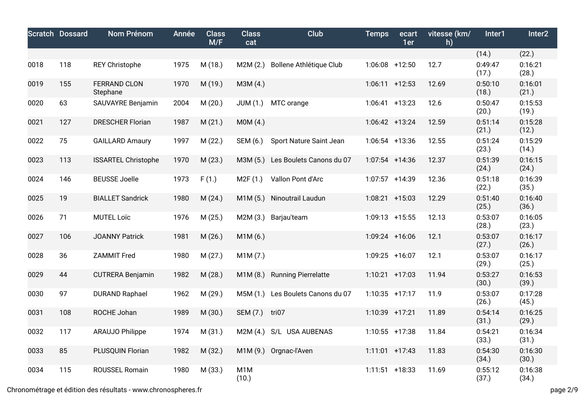|      | <b>Scratch Dossard</b> | Nom Prénom                      | Année | <b>Class</b><br>M/F | <b>Class</b><br>cat | <b>Club</b>                | <b>Temps</b>      | ecart<br>1er | vitesse (km/<br>h) | Inter1           | Inter <sub>2</sub> |
|------|------------------------|---------------------------------|-------|---------------------|---------------------|----------------------------|-------------------|--------------|--------------------|------------------|--------------------|
|      |                        |                                 |       |                     |                     |                            |                   |              |                    | (14.)            | (22.)              |
| 0018 | 118                    | <b>REY Christophe</b>           | 1975  | M(18.)              | M2M(2.)             | Bollene Athlétique Club    | $1:06:08$ +12:50  |              | 12.7               | 0:49:47<br>(17.) | 0:16:21<br>(28.)   |
| 0019 | 155                    | <b>FERRAND CLON</b><br>Stephane | 1970  | M (19.)             | M3M (4.)            |                            | $1:06:11$ +12:53  |              | 12.69              | 0:50:10<br>(18.) | 0:16:01<br>(21.)   |
| 0020 | 63                     | SAUVAYRE Benjamin               | 2004  | M(20.)              | JUM(1.)             | MTC orange                 | $1:06:41$ +13:23  |              | 12.6               | 0:50:47<br>(20.) | 0:15:53<br>(19.)   |
| 0021 | 127                    | <b>DRESCHER Florian</b>         | 1987  | M(21.)              | MOM(4.)             |                            | 1:06:42 +13:24    |              | 12.59              | 0:51:14<br>(21.) | 0:15:28<br>(12.)   |
| 0022 | 75                     | <b>GAILLARD Amaury</b>          | 1997  | M(22.)              | SEM (6.)            | Sport Nature Saint Jean    | $1:06:54$ +13:36  |              | 12.55              | 0:51:24<br>(23.) | 0:15:29<br>(14.)   |
| 0023 | 113                    | <b>ISSARTEL Christophe</b>      | 1970  | M(23.)              | M3M (5.)            | Les Boulets Canons du 07   | $1:07:54$ +14:36  |              | 12.37              | 0:51:39<br>(24.) | 0:16:15<br>(24.)   |
| 0024 | 146                    | <b>BEUSSE Joelle</b>            | 1973  | F(1.)               | M2F(1.)             | Vallon Pont d'Arc          | 1:07:57 +14:39    |              | 12.36              | 0:51:18<br>(22.) | 0:16:39<br>(35.)   |
| 0025 | 19                     | <b>BIALLET Sandrick</b>         | 1980  | M(24.)              | M1M(5.)             | Ninoutrail Laudun          | 1:08:21 +15:03    |              | 12.29              | 0:51:40<br>(25.) | 0:16:40<br>(36.)   |
| 0026 | 71                     | MUTEL Loïc                      | 1976  | M(25.)              | M2M (3.)            | Barjau'team                | $1:09:13 + 15:55$ |              | 12.13              | 0:53:07<br>(28.) | 0:16:05<br>(23.)   |
| 0027 | 106                    | <b>JOANNY Patrick</b>           | 1981  | M (26.)             | M1M (6.)            |                            | 1:09:24 +16:06    |              | 12.1               | 0:53:07<br>(27.) | 0:16:17<br>(26.)   |
| 0028 | 36                     | <b>ZAMMIT Fred</b>              | 1980  | M(27.)              | M1M (7.)            |                            | 1:09:25 +16:07    |              | 12.1               | 0:53:07<br>(29.) | 0:16:17<br>(25.)   |
| 0029 | 44                     | <b>CUTRERA Benjamin</b>         | 1982  | M(28.)              | M1M(8.)             | <b>Running Pierrelatte</b> | $1:10:21$ +17:03  |              | 11.94              | 0:53:27<br>(30.) | 0:16:53<br>(39.)   |
| 0030 | 97                     | <b>DURAND Raphael</b>           | 1962  | M (29.)             | M5M (1.)            | Les Boulets Canons du 07   | $1:10:35$ +17:17  |              | 11.9               | 0:53:07<br>(26.) | 0:17:28<br>(45.)   |
| 0031 | 108                    | ROCHE Johan                     | 1989  | M (30.)             | SEM (7.)            | tri07                      | 1:10:39 +17:21    |              | 11.89              | 0:54:14<br>(31.) | 0:16:25<br>(29.)   |
| 0032 | 117                    | <b>ARAUJO Philippe</b>          | 1974  | M(31.)              | M2M(4)              | S/L USA AUBENAS            | $1:10:55$ +17:38  |              | 11.84              | 0:54:21<br>(33.) | 0:16:34<br>(31.)   |
| 0033 | 85                     | PLUSQUIN Florian                | 1982  | M (32.)             |                     | M1M (9.) Orgnac-l'Aven     | $1:11:01$ +17:43  |              | 11.83              | 0:54:30<br>(34.) | 0:16:30<br>(30.)   |
| 0034 | 115                    | ROUSSEL Romain                  | 1980  | M (33.)             | M1M<br>(10.)        |                            | $1:11:51$ +18:33  |              | 11.69              | 0:55:12<br>(37.) | 0:16:38<br>(34.)   |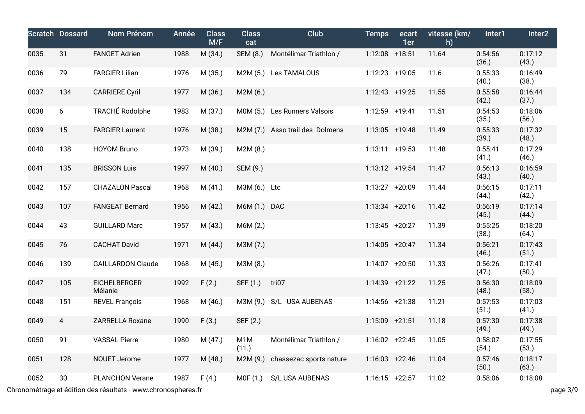|      | <b>Scratch Dossard</b> | Nom Prénom                     | Année | <b>Class</b><br>M/F | <b>Class</b><br>cat | Club                     | <b>Temps</b>      | ecart<br>1er | vitesse (km/<br>h) | Inter1           | Inter <sub>2</sub> |
|------|------------------------|--------------------------------|-------|---------------------|---------------------|--------------------------|-------------------|--------------|--------------------|------------------|--------------------|
| 0035 | 31                     | <b>FANGET Adrien</b>           | 1988  | M (34.)             | SEM (8.)            | Montélimar Triathlon /   | 1:12:08 +18:51    |              | 11.64              | 0:54:56<br>(36.) | 0:17:12<br>(43.)   |
| 0036 | 79                     | <b>FARGIER Lilian</b>          | 1976  | M (35.)             | M2M (5.)            | Les TAMALOUS             | 1:12:23 +19:05    |              | 11.6               | 0:55:33<br>(40.) | 0:16:49<br>(38.)   |
| 0037 | 134                    | <b>CARRIERE Cyril</b>          | 1977  | M (36.)             | M2M(6.)             |                          | $1:12:43$ +19:25  |              | 11.55              | 0:55:58<br>(42.) | 0:16:44<br>(37.)   |
| 0038 | 6                      | <b>TRACHÉ Rodolphe</b>         | 1983  | M (37.)             | M0M (5.)            | Les Runners Valsois      | 1:12:59 +19:41    |              | 11.51              | 0:54:53<br>(35.) | 0:18:06<br>(56.)   |
| 0039 | 15                     | <b>FARGIER Laurent</b>         | 1976  | M (38.)             | M2M (7.)            | Asso trail des Dolmens   | $1:13:05$ +19:48  |              | 11.49              | 0:55:33<br>(39.) | 0:17:32<br>(48.)   |
| 0040 | 138                    | <b>HOYOM Bruno</b>             | 1973  | M (39.)             | M2M (8.)            |                          | $1:13:11 + 19:53$ |              | 11.48              | 0:55:41<br>(41.) | 0:17:29<br>(46.)   |
| 0041 | 135                    | <b>BRISSON Luis</b>            | 1997  | M(40.)              | SEM (9.)            |                          | 1:13:12 +19:54    |              | 11.47              | 0:56:13<br>(43.) | 0:16:59<br>(40.)   |
| 0042 | 157                    | <b>CHAZALON Pascal</b>         | 1968  | M(41.)              | M3M (6.) Ltc        |                          | 1:13:27 +20:09    |              | 11.44              | 0:56:15<br>(44.) | 0:17:11<br>(42.)   |
| 0043 | 107                    | <b>FANGEAT Bernard</b>         | 1956  | M(42.)              | M6M (1.) DAC        |                          | $1:13:34$ +20:16  |              | 11.42              | 0:56:19<br>(45.) | 0:17:14<br>(44.)   |
| 0044 | 43                     | <b>GUILLARD Marc</b>           | 1957  | M(43.)              | M6M (2.)            |                          | $1:13:45$ +20:27  |              | 11.39              | 0:55:25<br>(38.) | 0:18:20<br>(64.)   |
| 0045 | 76                     | <b>CACHAT David</b>            | 1971  | M(44.)              | M3M (7.)            |                          | $1:14:05$ +20:47  |              | 11.34              | 0:56:21<br>(46.) | 0:17:43<br>(51.)   |
| 0046 | 139                    | <b>GAILLARDON Claude</b>       | 1968  | M(45.)              | M3M (8.)            |                          | 1:14:07 +20:50    |              | 11.33              | 0:56:26<br>(47.) | 0:17:41<br>(50.)   |
| 0047 | 105                    | <b>EICHELBERGER</b><br>Mélanie | 1992  | F(2.)               | SEF (1.)            | tri07                    | 1:14:39 +21:22    |              | 11.25              | 0:56:30<br>(48.) | 0:18:09<br>(58.)   |
| 0048 | 151                    | <b>REVEL François</b>          | 1968  | M (46.)             |                     | M3M (9.) S/L USA AUBENAS | 1:14:56 +21:38    |              | 11.21              | 0:57:53<br>(51.) | 0:17:03<br>(41.)   |
| 0049 | $\overline{4}$         | <b>ZARRELLA Roxane</b>         | 1990  | F(3.)               | SEF (2.)            |                          | $1:15:09$ +21:51  |              | 11.18              | 0:57:30<br>(49.) | 0:17:38<br>(49.)   |
| 0050 | 91                     | <b>VASSAL Pierre</b>           | 1980  | M (47.)             | M1M<br>(11.)        | Montélimar Triathlon /   | $1:16:02 +22:45$  |              | 11.05              | 0:58:07<br>(54.) | 0:17:55<br>(53.)   |
| 0051 | 128                    | <b>NOUET Jerome</b>            | 1977  | M(48.)              | M2M (9.)            | chassezac sports nature  | $1:16:03$ +22:46  |              | 11.04              | 0:57:46<br>(50.) | 0:18:17<br>(63.)   |
| 0052 | 30                     | <b>PLANCHON Verane</b>         | 1987  | F(4.)               | MOF(1.)             | S/L USA AUBENAS          | $1:16:15$ +22:57  |              | 11.02              | 0:58:06          | 0:18:08            |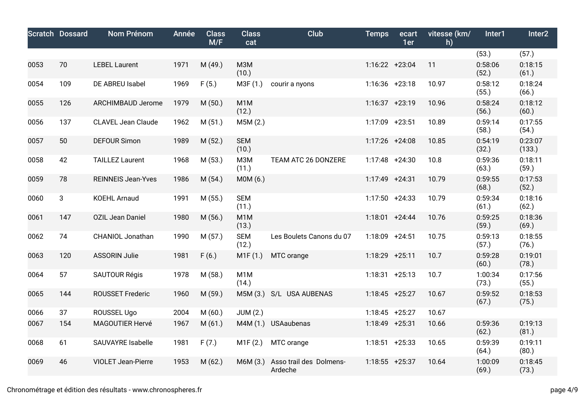|     | Nom Prénom                | Année | <b>Class</b><br>M/F | <b>Class</b><br>cat       | Club                               | <b>Temps</b>                                    | ecart<br>1er | vitesse (km/<br>h)                                                                                                                                                                                                                                                                                                                        | Inter1           | Inter <sub>2</sub> |
|-----|---------------------------|-------|---------------------|---------------------------|------------------------------------|-------------------------------------------------|--------------|-------------------------------------------------------------------------------------------------------------------------------------------------------------------------------------------------------------------------------------------------------------------------------------------------------------------------------------------|------------------|--------------------|
|     |                           |       |                     |                           |                                    |                                                 |              |                                                                                                                                                                                                                                                                                                                                           | (53.)            | (57.)              |
| 70  | <b>LEBEL Laurent</b>      | 1971  | M (49.)             | M3M<br>(10.)              |                                    |                                                 |              | 11                                                                                                                                                                                                                                                                                                                                        | 0:58:06<br>(52.) | 0:18:15<br>(61.)   |
| 109 | DE ABREU Isabel           | 1969  | F(5.)               | M3F (1.)                  | courir a nyons                     |                                                 |              | 10.97                                                                                                                                                                                                                                                                                                                                     | 0:58:12<br>(55.) | 0:18:24<br>(66.)   |
| 126 | ARCHIMBAUD Jerome         | 1979  | M(50.)              | M <sub>1</sub> M<br>(12.) |                                    |                                                 |              | 10.96                                                                                                                                                                                                                                                                                                                                     | 0:58:24<br>(56.) | 0:18:12<br>(60.)   |
| 137 | <b>CLAVEL Jean Claude</b> | 1962  | M(51.)              | M5M (2.)                  |                                    |                                                 |              | 10.89                                                                                                                                                                                                                                                                                                                                     | 0:59:14<br>(58.) | 0:17:55<br>(54.)   |
| 50  | <b>DEFOUR Simon</b>       | 1989  | M (52.)             | <b>SEM</b><br>(10.)       |                                    |                                                 |              | 10.85                                                                                                                                                                                                                                                                                                                                     | 0:54:19<br>(32.) | 0:23:07<br>(133.)  |
| 42  | <b>TAILLEZ Laurent</b>    | 1968  | M (53.)             | M3M<br>(11.)              | TEAM ATC 26 DONZERE                |                                                 |              | 10.8                                                                                                                                                                                                                                                                                                                                      | 0:59:36<br>(63.) | 0:18:11<br>(59.)   |
| 78  | <b>REINNEIS Jean-Yves</b> | 1986  | M (54.)             | M0M (6.)                  |                                    |                                                 |              | 10.79                                                                                                                                                                                                                                                                                                                                     | 0:59:55<br>(68.) | 0:17:53<br>(52.)   |
| 3   | <b>KOEHL Arnaud</b>       | 1991  | M (55.)             | <b>SEM</b><br>(11.)       |                                    |                                                 |              | 10.79                                                                                                                                                                                                                                                                                                                                     | 0:59:34<br>(61.) | 0:18:16<br>(62.)   |
| 147 | <b>OZIL Jean Daniel</b>   | 1980  | M (56.)             | M <sub>1</sub> M<br>(13.) |                                    |                                                 |              | 10.76                                                                                                                                                                                                                                                                                                                                     | 0:59:25<br>(59.) | 0:18:36<br>(69.)   |
| 74  | <b>CHANIOL Jonathan</b>   | 1990  | M(57.)              | <b>SEM</b><br>(12.)       | Les Boulets Canons du 07           |                                                 |              | 10.75                                                                                                                                                                                                                                                                                                                                     | 0:59:13<br>(57.) | 0:18:55<br>(76.)   |
| 120 | <b>ASSORIN Julie</b>      | 1981  | F(6.)               | M1F(1.)                   | MTC orange                         |                                                 |              | 10.7                                                                                                                                                                                                                                                                                                                                      | 0:59:28<br>(60.) | 0:19:01<br>(78.)   |
| 57  | <b>SAUTOUR Régis</b>      | 1978  | M (58.)             | M <sub>1</sub> M<br>(14.) |                                    |                                                 |              | 10.7                                                                                                                                                                                                                                                                                                                                      | 1:00:34<br>(73.) | 0:17:56<br>(55.)   |
| 144 | <b>ROUSSET Frederic</b>   | 1960  | M (59.)             |                           |                                    |                                                 |              | 10.67                                                                                                                                                                                                                                                                                                                                     | 0:59:52<br>(67.) | 0:18:53<br>(75.)   |
| 37  | ROUSSEL Ugo               | 2004  | M(60.)              | <b>JUM (2.)</b>           |                                    |                                                 |              | 10.67                                                                                                                                                                                                                                                                                                                                     |                  |                    |
| 154 | MAGOUTIER Hervé           | 1967  | M(61.)              |                           |                                    |                                                 |              | 10.66                                                                                                                                                                                                                                                                                                                                     | 0:59:36<br>(62.) | 0:19:13<br>(81.)   |
| 61  | SAUVAYRE Isabelle         | 1981  | F(7.)               | M1F(2.)                   | MTC orange                         |                                                 |              | 10.65                                                                                                                                                                                                                                                                                                                                     | 0:59:39<br>(64.) | 0:19:11<br>(80.)   |
| 46  | <b>VIOLET Jean-Pierre</b> | 1953  | M(62.)              | M6M (3.)                  | Asso trail des Dolmens-<br>Ardeche |                                                 |              | 10.64                                                                                                                                                                                                                                                                                                                                     | 1:00:09<br>(69.) | 0:18:45<br>(73.)   |
|     | <b>Scratch Dossard</b>    |       |                     |                           |                                    | M5M (3.) S/L USA AUBENAS<br>M4M (1.) USAaubenas |              | $1:16:22 +23:04$<br>1:16:36 +23:18<br>$1:16:37 +23:19$<br>1:17:09 +23:51<br>1:17:26 +24:08<br>$1:17:48$ +24:30<br>$1:17:49$ +24:31<br>$1:17:50 + 24:33$<br>$1:18:01 + 24:44$<br>$1:18:09$ +24:51<br>1:18:29 +25:11<br>$1:18:31 + 25:13$<br>$1:18:45$ +25:27<br>$1:18:45$ +25:27<br>1:18:49 +25:31<br>$1:18:51$ +25:33<br>$1:18:55$ +25:37 |                  |                    |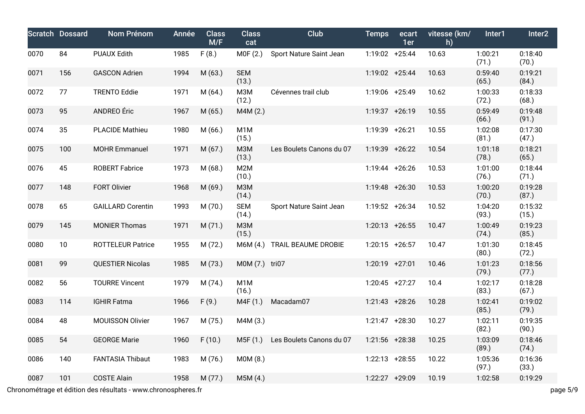|      | <b>Scratch Dossard</b> | Nom Prénom               | Année        | <b>Class</b><br>M/F | <b>Class</b><br>cat       | Club                              | <b>Temps</b>     | ecart<br>1er | vitesse (km/<br>h) | Inter1           | Inter2           |
|------|------------------------|--------------------------|--------------|---------------------|---------------------------|-----------------------------------|------------------|--------------|--------------------|------------------|------------------|
| 0070 | 84                     | <b>PUAUX Edith</b>       | 1985         | F(8.)               | MOF(2.)                   | Sport Nature Saint Jean           | 1:19:02 +25:44   |              | 10.63              | 1:00:21<br>(71.) | 0:18:40<br>(70.) |
| 0071 | 156                    | <b>GASCON Adrien</b>     | 1994         | M(63.)              | <b>SEM</b><br>(13.)       |                                   | 1:19:02 +25:44   |              | 10.63              | 0:59:40<br>(65.) | 0:19:21<br>(84.) |
| 0072 | 77                     | <b>TRENTO Eddie</b>      | 1971         | M(64.)              | M3M<br>(12.)              | Cévennes trail club               | 1:19:06 +25:49   |              | 10.62              | 1:00:33<br>(72.) | 0:18:33<br>(68.) |
| 0073 | 95                     | ANDREO Éric              | 1967         | M(65.)              | M4M (2.)                  |                                   | 1:19:37 +26:19   |              | 10.55              | 0:59:49<br>(66.) | 0:19:48<br>(91.) |
| 0074 | 35                     | <b>PLACIDE Mathieu</b>   | 1980         | M(66.)              | M <sub>1</sub> M<br>(15.) |                                   | 1:19:39 +26:21   |              | 10.55              | 1:02:08<br>(81.) | 0:17:30<br>(47.) |
| 0075 | 100                    | <b>MOHR Emmanuel</b>     | 1971         | M(67.)              | M3M<br>(13.)              | Les Boulets Canons du 07          | 1:19:39 +26:22   |              | 10.54              | 1:01:18<br>(78.) | 0:18:21<br>(65.) |
| 0076 | 45                     | <b>ROBERT Fabrice</b>    | 1973         | M(68.)              | M <sub>2</sub> M<br>(10.) |                                   | 1:19:44 +26:26   |              | 10.53              | 1:01:00<br>(76.) | 0:18:44<br>(71.) |
| 0077 | 148                    | <b>FORT Olivier</b>      | 1968         | M (69.)             | <b>M3M</b><br>(14.)       |                                   | 1:19:48 +26:30   |              | 10.53              | 1:00:20<br>(70.) | 0:19:28<br>(87.) |
| 0078 | 65                     | <b>GAILLARD Corentin</b> | 1993         | M (70.)             | <b>SEM</b><br>(14.)       | Sport Nature Saint Jean           | 1:19:52 +26:34   |              | 10.52              | 1:04:20<br>(93.) | 0:15:32<br>(15.) |
| 0079 | 145                    | <b>MONIER Thomas</b>     | 1971         | M(71.)              | M3M<br>(15.)              |                                   | $1:20:13$ +26:55 |              | 10.47              | 1:00:49<br>(74.) | 0:19:23<br>(85.) |
| 0080 | 10                     | <b>ROTTELEUR Patrice</b> | 1955         | M (72.)             | M6M (4.)                  | TRAIL BEAUME DROBIE               | $1:20:15$ +26:57 |              | 10.47              | 1:01:30<br>(80.) | 0:18:45<br>(72.) |
| 0081 | 99                     | <b>QUESTIER Nicolas</b>  | 1985         | M (73.)             | M0M (7.) tri07            |                                   | 1:20:19 +27:01   |              | 10.46              | 1:01:23<br>(79.) | 0:18:56<br>(77.) |
| 0082 | 56                     | <b>TOURRE Vincent</b>    | 1979         | M (74.)             | M <sub>1</sub> M<br>(16.) |                                   | $1:20:45$ +27:27 |              | 10.4               | 1:02:17<br>(83.) | 0:18:28<br>(67.) |
| 0083 | 114                    | <b>IGHIR Fatma</b>       | 1966         | F(9.)               | M4F (1.)                  | Macadam07                         | $1:21:43$ +28:26 |              | 10.28              | 1:02:41<br>(85.) | 0:19:02<br>(79.) |
| 0084 | 48                     | <b>MOUISSON Olivier</b>  | 1967         | M (75.)             | M4M (3.)                  |                                   | $1:21:47$ +28:30 |              | 10.27              | 1:02:11<br>(82.) | 0:19:35<br>(90.) |
| 0085 | 54                     | <b>GEORGE Marie</b>      | 1960 F (10.) |                     |                           | M5F (1.) Les Boulets Canons du 07 | 1:21:56 +28:38   |              | 10.25              | 1:03:09<br>(89.) | 0:18:46<br>(74.) |
| 0086 | 140                    | <b>FANTASIA Thibaut</b>  | 1983         | M (76.)             | M0M (8.)                  |                                   | $1:22:13$ +28:55 |              | 10.22              | 1:05:36<br>(97.) | 0:16:36<br>(33.) |
| 0087 | 101                    | <b>COSTE Alain</b>       | 1958         | M(77.)              | M5M(4.)                   |                                   | 1:22:27 +29:09   |              | 10.19              | 1:02:58          | 0:19:29          |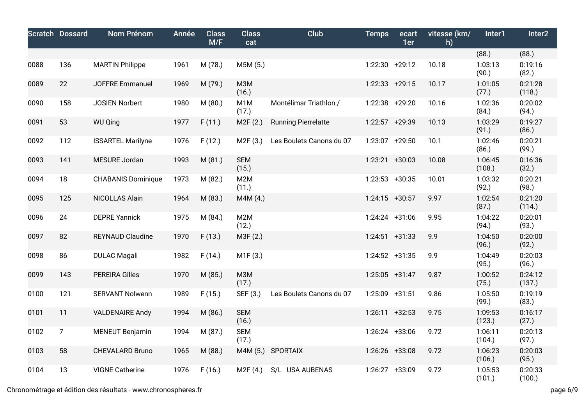|      | <b>Scratch Dossard</b> | <b>Nom Prénom</b>         | Année | <b>Class</b><br>M/F | <b>Class</b><br>cat       | Club                       | <b>Temps</b>      | ecart<br>1er | vitesse (km/<br>h) | Inter1            | Inter2            |
|------|------------------------|---------------------------|-------|---------------------|---------------------------|----------------------------|-------------------|--------------|--------------------|-------------------|-------------------|
|      |                        |                           |       |                     |                           |                            |                   |              |                    | (88.)             | (88.)             |
| 0088 | 136                    | <b>MARTIN Philippe</b>    | 1961  | M (78.)             | M5M (5.)                  |                            | 1:22:30 +29:12    |              | 10.18              | 1:03:13<br>(90.)  | 0:19:16<br>(82.)  |
| 0089 | 22                     | <b>JOFFRE Emmanuel</b>    | 1969  | M (79.)             | M3M<br>(16.)              |                            | $1:22:33$ +29:15  |              | 10.17              | 1:01:05<br>(77.)  | 0:21:28<br>(118.) |
| 0090 | 158                    | <b>JOSIEN Norbert</b>     | 1980  | M (80.)             | M <sub>1</sub> M<br>(17.) | Montélimar Triathlon /     | 1:22:38 +29:20    |              | 10.16              | 1:02:36<br>(84.)  | 0:20:02<br>(94.)  |
| 0091 | 53                     | <b>WU Qing</b>            | 1977  | F(11.)              | M2F(2.)                   | <b>Running Pierrelatte</b> | 1:22:57 +29:39    |              | 10.13              | 1:03:29<br>(91.)  | 0:19:27<br>(86.)  |
| 0092 | 112                    | <b>ISSARTEL Marilyne</b>  | 1976  | F(12.)              | M <sub>2</sub> F (3.)     | Les Boulets Canons du 07   | 1:23:07 +29:50    |              | 10.1               | 1:02:46<br>(86.)  | 0:20:21<br>(99.)  |
| 0093 | 141                    | MESURE Jordan             | 1993  | M(81.)              | <b>SEM</b><br>(15.)       |                            | 1:23:21 +30:03    |              | 10.08              | 1:06:45<br>(108.) | 0:16:36<br>(32.)  |
| 0094 | 18                     | <b>CHABANIS Dominique</b> | 1973  | M (82.)             | M <sub>2</sub> M<br>(11.) |                            | $1:23:53$ +30:35  |              | 10.01              | 1:03:32<br>(92.)  | 0:20:21<br>(98.)  |
| 0095 | 125                    | NICOLLAS Alain            | 1964  | M (83.)             | M4M (4.)                  |                            | $1:24:15$ +30:57  |              | 9.97               | 1:02:54<br>(87.)  | 0:21:20<br>(114.) |
| 0096 | 24                     | <b>DEPRE Yannick</b>      | 1975  | M (84.)             | M2M<br>(12.)              |                            | 1:24:24 +31:06    |              | 9.95               | 1:04:22<br>(94.)  | 0:20:01<br>(93.)  |
| 0097 | 82                     | <b>REYNAUD Claudine</b>   | 1970  | F(13.)              | M3F (2.)                  |                            | $1:24:51$ +31:33  |              | 9.9                | 1:04:50<br>(96.)  | 0:20:00<br>(92.)  |
| 0098 | 86                     | <b>DULAC Magali</b>       | 1982  | F(14.)              | M1F (3.)                  |                            | $1:24:52 +31:35$  |              | 9.9                | 1:04:49<br>(95.)  | 0:20:03<br>(96.)  |
| 0099 | 143                    | <b>PEREIRA Gilles</b>     | 1970  | M (85.)             | <b>МЗМ</b><br>(17.)       |                            | $1:25:05$ +31:47  |              | 9.87               | 1:00:52<br>(75.)  | 0:24:12<br>(137.) |
| 0100 | 121                    | <b>SERVANT Nolwenn</b>    | 1989  | F(15.)              | SEF (3.)                  | Les Boulets Canons du 07   | 1:25:09 +31:51    |              | 9.86               | 1:05:50<br>(99.)  | 0:19:19<br>(83.)  |
| 0101 | 11                     | <b>VALDENAIRE Andy</b>    | 1994  | M (86.)             | <b>SEM</b><br>(16.)       |                            | $1:26:11 + 32:53$ |              | 9.75               | 1:09:53<br>(123.) | 0:16:17<br>(27.)  |
| 0102 | $\overline{7}$         | <b>MENEUT Benjamin</b>    | 1994  | M (87.)             | <b>SEM</b><br>(17.)       |                            | 1:26:24 +33:06    |              | 9.72               | 1:06:11<br>(104.) | 0:20:13<br>(97.)  |
| 0103 | 58                     | <b>CHEVALARD Bruno</b>    | 1965  | M (88.)             | M4M (5.)                  | <b>SPORTAIX</b>            | 1:26:26 +33:08    |              | 9.72               | 1:06:23<br>(106.) | 0:20:03<br>(95.)  |
| 0104 | 13                     | <b>VIGNE Catherine</b>    | 1976  | F(16.)              | M2F(4.)                   | S/L USA AUBENAS            | 1:26:27 +33:09    |              | 9.72               | 1:05:53<br>(101.) | 0:20:33<br>(100.) |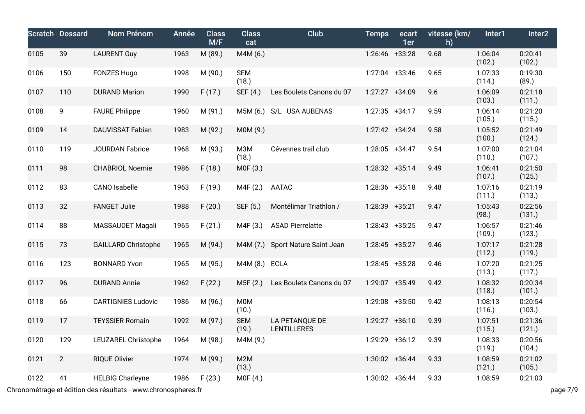|      | <b>Scratch Dossard</b> | Nom Prénom                 | Année | <b>Class</b><br>M/F | <b>Class</b><br>cat       | Club                                 | <b>Temps</b>      | ecart<br>1er   | vitesse (km/<br>h) | Inter1            | Inter2            |
|------|------------------------|----------------------------|-------|---------------------|---------------------------|--------------------------------------|-------------------|----------------|--------------------|-------------------|-------------------|
| 0105 | 39                     | <b>LAURENT Guy</b>         | 1963  | M (89.)             | M4M (6.)                  |                                      | 1:26:46 +33:28    |                | 9.68               | 1:06:04<br>(102.) | 0:20:41<br>(102.) |
| 0106 | 150                    | <b>FONZES Hugo</b>         | 1998  | M (90.)             | <b>SEM</b><br>(18.)       |                                      | 1:27:04 +33:46    |                | 9.65               | 1:07:33<br>(114.) | 0:19:30<br>(89.)  |
| 0107 | 110                    | <b>DURAND Marion</b>       | 1990  | F(17.)              | SEF (4.)                  | Les Boulets Canons du 07             | 1:27:27 +34:09    |                | 9.6                | 1:06:09<br>(103.) | 0:21:18<br>(111.) |
| 0108 | 9                      | <b>FAURE Philippe</b>      | 1960  | M (91.)             | M5M (6.)                  | S/L USA AUBENAS                      | $1:27:35$ +34:17  |                | 9.59               | 1:06:14<br>(105.) | 0:21:20<br>(115.) |
| 0109 | 14                     | DAUVISSAT Fabian           | 1983  | M (92.)             | M0M (9.)                  |                                      | $1:27:42$ +34:24  |                | 9.58               | 1:05:52<br>(100.) | 0:21:49<br>(124.) |
| 0110 | 119                    | <b>JOURDAN Fabrice</b>     | 1968  | M (93.)             | M3M<br>(18.)              | Cévennes trail club                  | 1:28:05 +34:47    |                | 9.54               | 1:07:00<br>(110.) | 0:21:04<br>(107.) |
| 0111 | 98                     | <b>CHABRIOL Noemie</b>     | 1986  | F(18.)              | MOF(3.)                   |                                      | 1:28:32 +35:14    |                | 9.49               | 1:06:41<br>(107.) | 0:21:50<br>(125.) |
| 0112 | 83                     | <b>CANO</b> Isabelle       | 1963  | F(19.)              | M4F (2.)                  | AATAC                                | 1:28:36 +35:18    |                | 9.48               | 1:07:16<br>(111.) | 0:21:19<br>(113.) |
| 0113 | 32                     | <b>FANGET Julie</b>        | 1988  | F(20.)              | SEF (5.)                  | Montélimar Triathlon /               | 1:28:39 +35:21    |                | 9.47               | 1:05:43<br>(98.)  | 0:22:56<br>(131.) |
| 0114 | 88                     | MASSAUDET Magali           | 1965  | F(21.)              | MAF(3.)                   | <b>ASAD Pierrelatte</b>              | $1:28:43$ +35:25  |                | 9.47               | 1:06:57<br>(109.) | 0:21:46<br>(123.) |
| 0115 | 73                     | <b>GAILLARD Christophe</b> | 1965  | M (94.)             | M4M(7.)                   | Sport Nature Saint Jean              | $1:28:45$ +35:27  |                | 9.46               | 1:07:17<br>(112.) | 0:21:28<br>(119.) |
| 0116 | 123                    | <b>BONNARD Yvon</b>        | 1965  | M (95.)             | M4M (8.)                  | <b>ECLA</b>                          | $1:28:45$ +35:28  |                | 9.46               | 1:07:20<br>(113.) | 0:21:25<br>(117.) |
| 0117 | 96                     | <b>DURAND Annie</b>        | 1962  | F(22.)              | M5F(2.)                   | Les Boulets Canons du 07             | 1:29:07 +35:49    |                | 9.42               | 1:08:32<br>(118.) | 0:20:34<br>(101.) |
| 0118 | 66                     | <b>CARTIGNIES Ludovic</b>  | 1986  | M (96.)             | <b>MOM</b><br>(10.)       |                                      | 1:29:08 +35:50    |                | 9.42               | 1:08:13<br>(116.) | 0:20:54<br>(103.) |
| 0119 | 17                     | <b>TEYSSIER Romain</b>     | 1992  | M (97.)             | <b>SEM</b><br>(19.)       | LA PETANQUE DE<br><b>LENTILLERES</b> | 1:29:27 +36:10    |                | 9.39               | 1:07:51<br>(115.) | 0:21:36<br>(121.) |
| 0120 | 129                    | LEUZAREL Christophe        | 1964  | M (98.)             | M4M (9.)                  |                                      |                   | 1:29:29 +36:12 | 9.39               | 1:08:33<br>(119.) | 0:20:56<br>(104.) |
| 0121 | $\overline{2}$         | <b>RIQUE Olivier</b>       | 1974  | M (99.)             | M <sub>2</sub> M<br>(13.) |                                      | $1:30:02 + 36:44$ |                | 9.33               | 1:08:59<br>(121.) | 0:21:02<br>(105.) |
| 0122 | 41                     | <b>HELBIG Charleyne</b>    | 1986  | F(23.)              | MOF(4.)                   |                                      | $1:30:02$ +36:44  |                | 9.33               | 1:08:59           | 0:21:03           |

Chronométrage et édition des résultats - www.chronospheres.fr page 7/9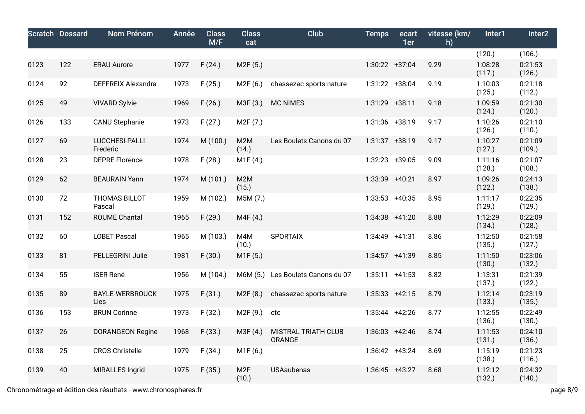|      | <b>Scratch Dossard</b> | Nom Prénom                     | Année | <b>Class</b><br>M/F | <b>Class</b><br>cat       | Club                          | <b>Temps</b>      | ecart<br>1er | vitesse (km/<br>h) | Inter1            | Inter <sub>2</sub> |
|------|------------------------|--------------------------------|-------|---------------------|---------------------------|-------------------------------|-------------------|--------------|--------------------|-------------------|--------------------|
|      |                        |                                |       |                     |                           |                               |                   |              |                    | (120.)            | (106.)             |
| 0123 | 122                    | <b>ERAU Aurore</b>             | 1977  | F(24.)              | M <sub>2</sub> F (5.)     |                               | 1:30:22 +37:04    |              | 9.29               | 1:08:28<br>(117.) | 0:21:53<br>(126.)  |
| 0124 | 92                     | <b>DEFFREIX Alexandra</b>      | 1973  | F(25.)              | M2F(6.)                   | chassezac sports nature       | 1:31:22 +38:04    |              | 9.19               | 1:10:03<br>(125.) | 0:21:18<br>(112.)  |
| 0125 | 49                     | <b>VIVARD Sylvie</b>           | 1969  | F(26.)              | M3F (3.)                  | <b>MC NIMES</b>               | 1:31:29 +38:11    |              | 9.18               | 1:09:59<br>(124.) | 0:21:30<br>(120.)  |
| 0126 | 133                    | <b>CANU Stephanie</b>          | 1973  | F(27.)              | M <sub>2</sub> F (7.)     |                               | 1:31:36 +38:19    |              | 9.17               | 1:10:26<br>(126.) | 0:21:10<br>(110.)  |
| 0127 | 69                     | LUCCHESI-PALLI<br>Frederic     | 1974  | M (100.)            | M2M<br>(14.)              | Les Boulets Canons du 07      | 1:31:37 +38:19    |              | 9.17               | 1:10:27<br>(127.) | 0:21:09<br>(109.)  |
| 0128 | 23                     | <b>DEPRE Florence</b>          | 1978  | F(28.)              | M1F(4.)                   |                               | 1:32:23 +39:05    |              | 9.09               | 1:11:16<br>(128.) | 0:21:07<br>(108.)  |
| 0129 | 62                     | <b>BEAURAIN Yann</b>           | 1974  | M (101.)            | M <sub>2</sub> M<br>(15.) |                               | 1:33:39 +40:21    |              | 8.97               | 1:09:26<br>(122.) | 0:24:13<br>(138.)  |
| 0130 | 72                     | <b>THOMAS BILLOT</b><br>Pascal | 1959  | M (102.)            | M5M (7.)                  |                               | $1:33:53$ +40:35  |              | 8.95               | 1:11:17<br>(129.) | 0:22:35<br>(129.)  |
| 0131 | 152                    | <b>ROUME Chantal</b>           | 1965  | F(29.)              | M4F (4.)                  |                               | $1:34:38$ +41:20  |              | 8.88               | 1:12:29<br>(134.) | 0:22:09<br>(128.)  |
| 0132 | 60                     | <b>LOBET Pascal</b>            | 1965  | M (103.)            | M4M<br>(10.)              | <b>SPORTAIX</b>               | 1:34:49 +41:31    |              | 8.86               | 1:12:50<br>(135.) | 0:21:58<br>(127.)  |
| 0133 | 81                     | PELLEGRINI Julie               | 1981  | F(30.)              | M1F(5.)                   |                               | $1:34:57$ +41:39  |              | 8.85               | 1:11:50<br>(130.) | 0:23:06<br>(132.)  |
| 0134 | 55                     | <b>ISER René</b>               | 1956  | M (104.)            | M6M (5.)                  | Les Boulets Canons du 07      | $1:35:11 + 41:53$ |              | 8.82               | 1:13:31<br>(137.) | 0:21:39<br>(122.)  |
| 0135 | 89                     | <b>BAYLE-WERBROUCK</b><br>Lies | 1975  | F(31.)              | M2F(8.)                   | chassezac sports nature       | $1:35:33 +42:15$  |              | 8.79               | 1:12:14<br>(133.) | 0:23:19<br>(135.)  |
| 0136 | 153                    | <b>BRUN Corinne</b>            | 1973  | F(32.)              | M2F (9.)                  | ctc                           | $1:35:44$ +42:26  |              | 8.77               | 1:12:55<br>(136.) | 0:22:49<br>(130.)  |
| 0137 | 26                     | <b>DORANGEON Regine</b>        | 1968  | F(33.)              | M3F (4.)                  | MISTRAL TRIATH CLUB<br>ORANGE | $1:36:03$ +42:46  |              | 8.74               | 1:11:53<br>(131.) | 0:24:10<br>(136.)  |
| 0138 | 25                     | <b>CROS Christelle</b>         | 1979  | F(34.)              | M1F(6.)                   |                               | $1:36:42 +43:24$  |              | 8.69               | 1:15:19<br>(138.) | 0:21:23<br>(116.)  |
| 0139 | 40                     | MIRALLES Ingrid                | 1975  | F(35.)              | M <sub>2F</sub><br>(10.)  | <b>USAaubenas</b>             | $1:36:45$ +43:27  |              | 8.68               | 1:12:12<br>(132.) | 0:24:32<br>(140.)  |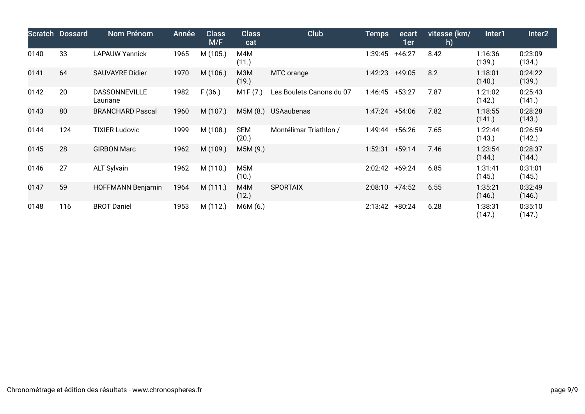|      | <b>Scratch Dossard</b> | <b>Nom Prénom</b>         | Année | <b>Class</b><br>M/F | <b>Class</b><br>cat       | Club                     | Temps             | ecart<br>1er     | vitesse (km/<br>h) | Inter1            | Inter <sub>2</sub> |
|------|------------------------|---------------------------|-------|---------------------|---------------------------|--------------------------|-------------------|------------------|--------------------|-------------------|--------------------|
| 0140 | 33                     | <b>LAPAUW Yannick</b>     | 1965  | M (105.)            | M4M<br>(11.)              |                          | 1:39:45           | $+46:27$         | 8.42               | 1:16:36<br>(139.) | 0:23:09<br>(134.)  |
| 0141 | 64                     | <b>SAUVAYRE Didier</b>    | 1970  | M (106.)            | M3M<br>(19.)              | MTC orange               | 1:42:23           | $+49:05$         | 8.2                | 1:18:01<br>(140.) | 0:24:22<br>(139.)  |
| 0142 | 20                     | DASSONNEVILLE<br>Lauriane | 1982  | F(36.)              | M1F(7.)                   | Les Boulets Canons du 07 |                   | $1:46:45$ +53:27 | 7.87               | 1:21:02<br>(142.) | 0:25:43<br>(141.)  |
| 0143 | 80                     | <b>BRANCHARD Pascal</b>   | 1960  | M (107.)            | M5M(8.)                   | <b>USAaubenas</b>        |                   | 1:47:24 +54:06   | 7.82               | 1:18:55<br>(141.) | 0:28:28<br>(143.)  |
| 0144 | 124                    | <b>TIXIER Ludovic</b>     | 1999  | M (108.)            | <b>SEM</b><br>(20.)       | Montélimar Triathlon /   | 1:49:44           | $+56:26$         | 7.65               | 1:22:44<br>(143.) | 0:26:59<br>(142.)  |
| 0145 | 28                     | <b>GIRBON Marc</b>        | 1962  | M (109.)            | M5M (9.)                  |                          | 1:52:31           | $+59:14$         | 7.46               | 1:23:54<br>(144.) | 0:28:37<br>(144.)  |
| 0146 | 27                     | <b>ALT Sylvain</b>        | 1962  | M (110.)            | M <sub>5</sub> M<br>(10.) |                          | 2:02:42 +69:24    |                  | 6.85               | 1:31:41<br>(145.) | 0:31:01<br>(145.)  |
| 0147 | 59                     | <b>HOFFMANN Benjamin</b>  | 1964  | M (111.)            | M4M<br>(12.)              | <b>SPORTAIX</b>          | $2:08:10 +74:52$  |                  | 6.55               | 1:35:21<br>(146.) | 0:32:49<br>(146.)  |
| 0148 | 116                    | <b>BROT Daniel</b>        | 1953  | M (112.)            | M6M (6.)                  |                          | $2:13:42 + 80:24$ |                  | 6.28               | 1:38:31<br>(147.) | 0:35:10<br>(147.)  |